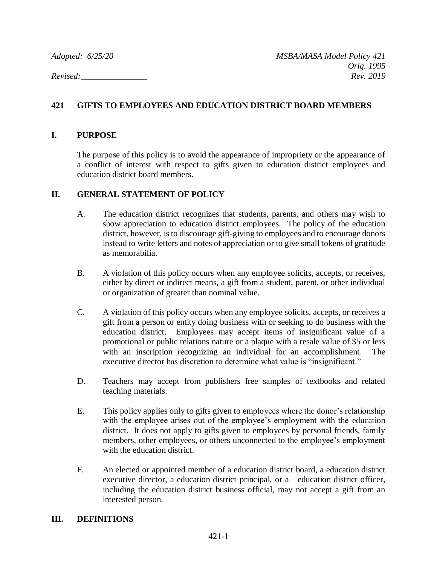*Adopted: 6/25/20 MSBA/MASA Model Policy 421 Orig. 1995 Revised: Rev. 2019*

# **421 GIFTS TO EMPLOYEES AND EDUCATION DISTRICT BOARD MEMBERS**

### **I. PURPOSE**

The purpose of this policy is to avoid the appearance of impropriety or the appearance of a conflict of interest with respect to gifts given to education district employees and education district board members.

## **II. GENERAL STATEMENT OF POLICY**

- A. The education district recognizes that students, parents, and others may wish to show appreciation to education district employees. The policy of the education district, however, isto discourage gift-giving to employees and to encourage donors instead to write letters and notes of appreciation or to give small tokens of gratitude as memorabilia.
- B. A violation of this policy occurs when any employee solicits, accepts, or receives, either by direct or indirect means, a gift from a student, parent, or other individual or organization of greater than nominal value.
- C. A violation of this policy occurs when any employee solicits, accepts, or receives a gift from a person or entity doing business with or seeking to do business with the education district. Employees may accept items of insignificant value of a promotional or public relations nature or a plaque with a resale value of \$5 or less with an inscription recognizing an individual for an accomplishment. The executive director has discretion to determine what value is "insignificant."
- D. Teachers may accept from publishers free samples of textbooks and related teaching materials.
- E. This policy applies only to gifts given to employees where the donor's relationship with the employee arises out of the employee's employment with the education district. It does not apply to gifts given to employees by personal friends, family members, other employees, or others unconnected to the employee's employment with the education district.
- F. An elected or appointed member of a education district board, a education district executive director, a education district principal, or a education district officer, including the education district business official, may not accept a gift from an interested person.

### **III. DEFINITIONS**